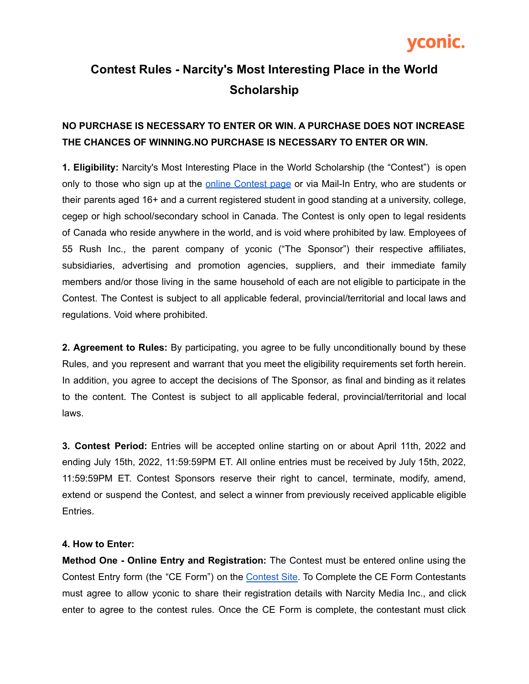

#### **Contest Rules - Narcity's Most Interesting Place in the World Scholarship**

#### **NO PURCHASE IS NECESSARY TO ENTER OR WIN. A PURCHASE DOES NOT INCREASE THE CHANCES OF WINNING.NO PURCHASE IS NECESSARY TO ENTER OR WIN.**

**1. Eligibility:** Narcity's Most Interesting Place in the World Scholarship (the "Contest") is open only to those who sign up at the online [Contest](https://forms.yconic.com/s/Narcity-Scholarship/tt-e34862) page or via Mail-In Entry, who are students or their parents aged 16+ and a current registered student in good standing at a university, college, cegep or high school/secondary school in Canada. The Contest is only open to legal residents of Canada who reside anywhere in the world, and is void where prohibited by law. Employees of 55 Rush Inc., the parent company of yconic ("The Sponsor") their respective affiliates, subsidiaries, advertising and promotion agencies, suppliers, and their immediate family members and/or those living in the same household of each are not eligible to participate in the Contest. The Contest is subject to all applicable federal, provincial/territorial and local laws and regulations. Void where prohibited.

**2. Agreement to Rules:** By participating, you agree to be fully unconditionally bound by these Rules, and you represent and warrant that you meet the eligibility requirements set forth herein. In addition, you agree to accept the decisions of The Sponsor, as final and binding as it relates to the content. The Contest is subject to all applicable federal, provincial/territorial and local laws.

**3. Contest Period:** Entries will be accepted online starting on or about April 11th, 2022 and ending July 15th, 2022, 11:59:59PM ET. All online entries must be received by July 15th, 2022, 11:59:59PM ET. Contest Sponsors reserve their right to cancel, terminate, modify, amend, extend or suspend the Contest, and select a winner from previously received applicable eligible Entries.

#### **4. How to Enter:**

**Method One - Online Entry and Registration:** The Contest must be entered online using the Contest Entry form (the "CE Form") on the [Contest](https://forms.yconic.com/s/Narcity-Scholarship/tt-e34862) Site. To Complete the CE Form Contestants must agree to allow yconic to share their registration details with Narcity Media Inc., and click enter to agree to the contest rules. Once the CE Form is complete, the contestant must click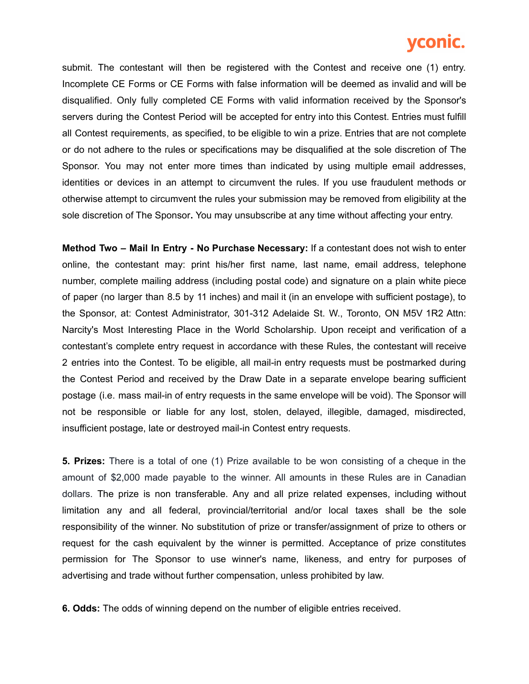# vconic.

submit. The contestant will then be registered with the Contest and receive one (1) entry. Incomplete CE Forms or CE Forms with false information will be deemed as invalid and will be disqualified. Only fully completed CE Forms with valid information received by the Sponsor's servers during the Contest Period will be accepted for entry into this Contest. Entries must fulfill all Contest requirements, as specified, to be eligible to win a prize. Entries that are not complete or do not adhere to the rules or specifications may be disqualified at the sole discretion of The Sponsor. You may not enter more times than indicated by using multiple email addresses, identities or devices in an attempt to circumvent the rules. If you use fraudulent methods or otherwise attempt to circumvent the rules your submission may be removed from eligibility at the sole discretion of The Sponsor**.** You may unsubscribe at any time without affecting your entry.

**Method Two – Mail In Entry - No Purchase Necessary:** If a contestant does not wish to enter online, the contestant may: print his/her first name, last name, email address, telephone number, complete mailing address (including postal code) and signature on a plain white piece of paper (no larger than 8.5 by 11 inches) and mail it (in an envelope with sufficient postage), to the Sponsor, at: Contest Administrator, 301-312 Adelaide St. W., Toronto, ON M5V 1R2 Attn: Narcity's Most Interesting Place in the World Scholarship. Upon receipt and verification of a contestant's complete entry request in accordance with these Rules, the contestant will receive 2 entries into the Contest. To be eligible, all mail-in entry requests must be postmarked during the Contest Period and received by the Draw Date in a separate envelope bearing sufficient postage (i.e. mass mail-in of entry requests in the same envelope will be void). The Sponsor will not be responsible or liable for any lost, stolen, delayed, illegible, damaged, misdirected, insufficient postage, late or destroyed mail-in Contest entry requests.

**5. Prizes:** There is a total of one (1) Prize available to be won consisting of a cheque in the amount of \$2,000 made payable to the winner. All amounts in these Rules are in Canadian dollars. The prize is non transferable. Any and all prize related expenses, including without limitation any and all federal, provincial/territorial and/or local taxes shall be the sole responsibility of the winner. No substitution of prize or transfer/assignment of prize to others or request for the cash equivalent by the winner is permitted. Acceptance of prize constitutes permission for The Sponsor to use winner's name, likeness, and entry for purposes of advertising and trade without further compensation, unless prohibited by law.

**6. Odds:** The odds of winning depend on the number of eligible entries received.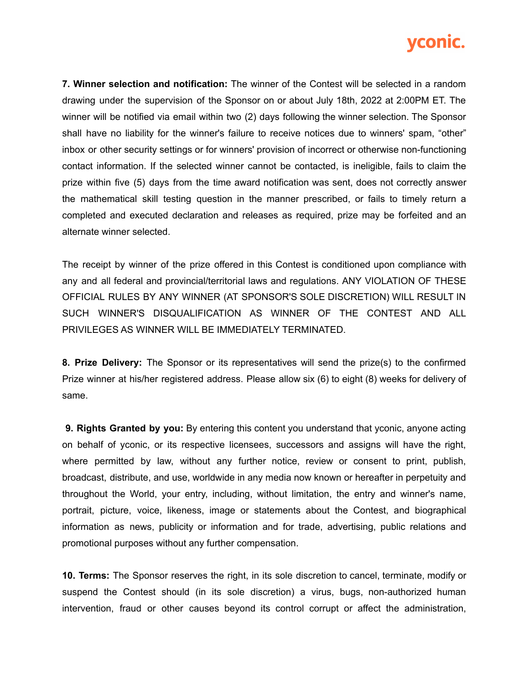

**7. Winner selection and notification:** The winner of the Contest will be selected in a random drawing under the supervision of the Sponsor on or about July 18th, 2022 at 2:00PM ET. The winner will be notified via email within two (2) days following the winner selection. The Sponsor shall have no liability for the winner's failure to receive notices due to winners' spam, "other" inbox or other security settings or for winners' provision of incorrect or otherwise non-functioning contact information. If the selected winner cannot be contacted, is ineligible, fails to claim the prize within five (5) days from the time award notification was sent, does not correctly answer the mathematical skill testing question in the manner prescribed, or fails to timely return a completed and executed declaration and releases as required, prize may be forfeited and an alternate winner selected.

The receipt by winner of the prize offered in this Contest is conditioned upon compliance with any and all federal and provincial/territorial laws and regulations. ANY VIOLATION OF THESE OFFICIAL RULES BY ANY WINNER (AT SPONSOR'S SOLE DISCRETION) WILL RESULT IN SUCH WINNER'S DISQUALIFICATION AS WINNER OF THE CONTEST AND ALL PRIVILEGES AS WINNER WILL BE IMMEDIATELY TERMINATED.

**8. Prize Delivery:** The Sponsor or its representatives will send the prize(s) to the confirmed Prize winner at his/her registered address. Please allow six (6) to eight (8) weeks for delivery of same.

**9. Rights Granted by you:** By entering this content you understand that yconic, anyone acting on behalf of yconic, or its respective licensees, successors and assigns will have the right, where permitted by law, without any further notice, review or consent to print, publish, broadcast, distribute, and use, worldwide in any media now known or hereafter in perpetuity and throughout the World, your entry, including, without limitation, the entry and winner's name, portrait, picture, voice, likeness, image or statements about the Contest, and biographical information as news, publicity or information and for trade, advertising, public relations and promotional purposes without any further compensation.

**10. Terms:** The Sponsor reserves the right, in its sole discretion to cancel, terminate, modify or suspend the Contest should (in its sole discretion) a virus, bugs, non-authorized human intervention, fraud or other causes beyond its control corrupt or affect the administration,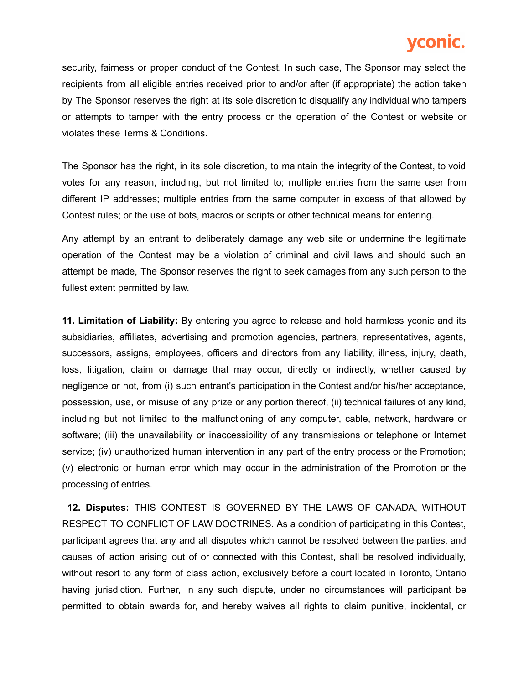## vconic.

security, fairness or proper conduct of the Contest. In such case, The Sponsor may select the recipients from all eligible entries received prior to and/or after (if appropriate) the action taken by The Sponsor reserves the right at its sole discretion to disqualify any individual who tampers or attempts to tamper with the entry process or the operation of the Contest or website or violates these Terms & Conditions.

The Sponsor has the right, in its sole discretion, to maintain the integrity of the Contest, to void votes for any reason, including, but not limited to; multiple entries from the same user from different IP addresses; multiple entries from the same computer in excess of that allowed by Contest rules; or the use of bots, macros or scripts or other technical means for entering.

Any attempt by an entrant to deliberately damage any web site or undermine the legitimate operation of the Contest may be a violation of criminal and civil laws and should such an attempt be made, The Sponsor reserves the right to seek damages from any such person to the fullest extent permitted by law.

**11. Limitation of Liability:** By entering you agree to release and hold harmless yconic and its subsidiaries, affiliates, advertising and promotion agencies, partners, representatives, agents, successors, assigns, employees, officers and directors from any liability, illness, injury, death, loss, litigation, claim or damage that may occur, directly or indirectly, whether caused by negligence or not, from (i) such entrant's participation in the Contest and/or his/her acceptance, possession, use, or misuse of any prize or any portion thereof, (ii) technical failures of any kind, including but not limited to the malfunctioning of any computer, cable, network, hardware or software; (iii) the unavailability or inaccessibility of any transmissions or telephone or Internet service; (iv) unauthorized human intervention in any part of the entry process or the Promotion; (v) electronic or human error which may occur in the administration of the Promotion or the processing of entries.

**12. Disputes:** THIS CONTEST IS GOVERNED BY THE LAWS OF CANADA, WITHOUT RESPECT TO CONFLICT OF LAW DOCTRINES. As a condition of participating in this Contest, participant agrees that any and all disputes which cannot be resolved between the parties, and causes of action arising out of or connected with this Contest, shall be resolved individually, without resort to any form of class action, exclusively before a court located in Toronto, Ontario having jurisdiction. Further, in any such dispute, under no circumstances will participant be permitted to obtain awards for, and hereby waives all rights to claim punitive, incidental, or